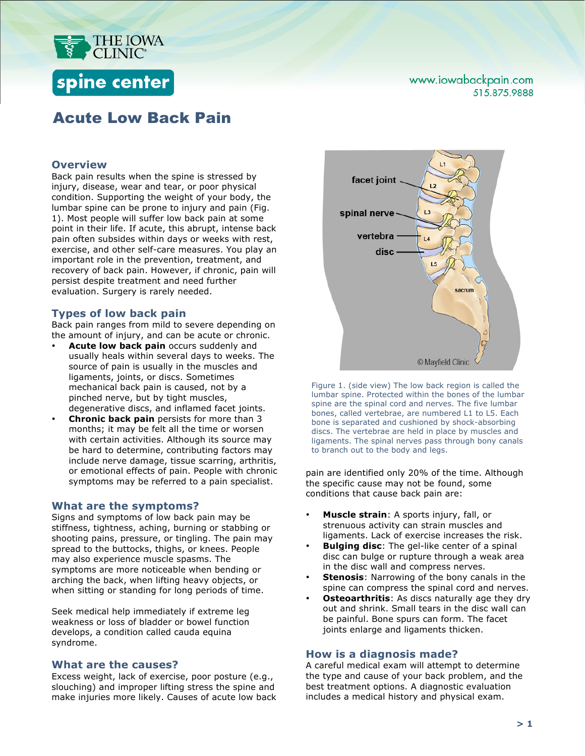

# spine center

### www.iowabackpain.com 515.875.9888

## Acute Low Back Pain

#### **Overview**

Back pain results when the spine is stressed by injury, disease, wear and tear, or poor physical condition. Supporting the weight of your body, the lumbar spine can be prone to injury and pain (Fig. 1). Most people will suffer low back pain at some point in their life. If acute, this abrupt, intense back pain often subsides within days or weeks with rest, exercise, and other self-care measures. You play an important role in the prevention, treatment, and recovery of back pain. However, if chronic, pain will persist despite treatment and need further evaluation. Surgery is rarely needed.

#### **Types of low back pain**

Back pain ranges from mild to severe depending on the amount of injury, and can be acute or chronic.

- **Acute low back pain** occurs suddenly and usually heals within several days to weeks. The source of pain is usually in the muscles and ligaments, joints, or discs. Sometimes mechanical back pain is caused, not by a pinched nerve, but by tight muscles, degenerative discs, and inflamed facet joints.
- **Chronic back pain** persists for more than 3 months; it may be felt all the time or worsen with certain activities. Although its source may be hard to determine, contributing factors may include nerve damage, tissue scarring, arthritis, or emotional effects of pain. People with chronic symptoms may be referred to a pain specialist.

#### **What are the symptoms?**

Signs and symptoms of low back pain may be stiffness, tightness, aching, burning or stabbing or shooting pains, pressure, or tingling. The pain may spread to the buttocks, thighs, or knees. People may also experience muscle spasms. The symptoms are more noticeable when bending or arching the back, when lifting heavy objects, or when sitting or standing for long periods of time.

Seek medical help immediately if extreme leg weakness or loss of bladder or bowel function develops, a condition called cauda equina syndrome.

#### **What are the causes?**

Excess weight, lack of exercise, poor posture (e.g., slouching) and improper lifting stress the spine and make injuries more likely. Causes of acute low back



Figure 1. (side view) The low back region is called the lumbar spine. Protected within the bones of the lumbar spine are the spinal cord and nerves. The five lumbar bones, called vertebrae, are numbered L1 to L5. Each bone is separated and cushioned by shock-absorbing discs. The vertebrae are held in place by muscles and ligaments. The spinal nerves pass through bony canals to branch out to the body and legs.

pain are identified only 20% of the time. Although the specific cause may not be found, some conditions that cause back pain are:

- **Muscle strain**: A sports injury, fall, or strenuous activity can strain muscles and ligaments. Lack of exercise increases the risk.
- **Bulging disc**: The gel-like center of a spinal disc can bulge or rupture through a weak area in the disc wall and compress nerves.
- **Stenosis:** Narrowing of the bony canals in the spine can compress the spinal cord and nerves.
- **Osteoarthritis:** As discs naturally age they dry out and shrink. Small tears in the disc wall can be painful. Bone spurs can form. The facet joints enlarge and ligaments thicken.

#### **How is a diagnosis made?**

A careful medical exam will attempt to determine the type and cause of your back problem, and the best treatment options. A diagnostic evaluation includes a medical history and physical exam.